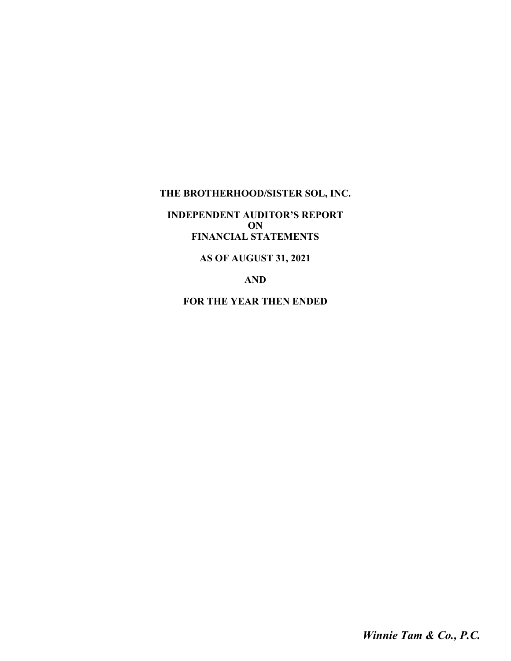# **THE BROTHERHOOD/SISTER SOL, INC.**

## **INDEPENDENT AUDITOR'S REPORT ON FINANCIAL STATEMENTS**

**AS OF AUGUST 31, 2021**

**AND**

**FOR THE YEAR THEN ENDED**

*Winnie Tam & Co., P.C.*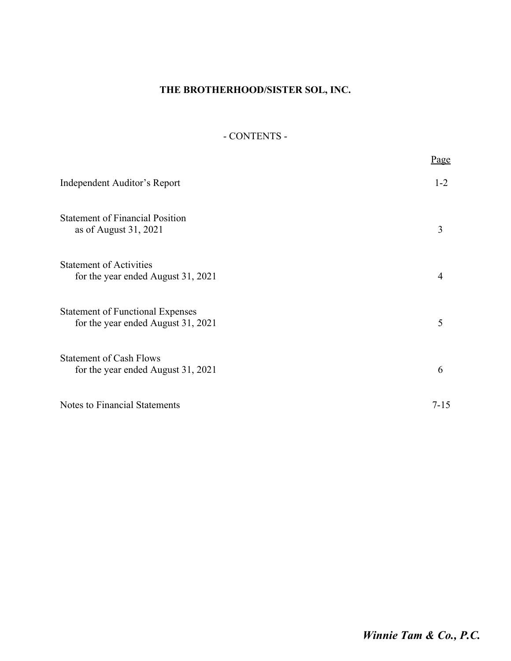# **THE BROTHERHOOD/SISTER SOL, INC.**

# - CONTENTS -

|                                                                               | Page     |
|-------------------------------------------------------------------------------|----------|
| Independent Auditor's Report                                                  | $1 - 2$  |
| <b>Statement of Financial Position</b><br>as of August 31, 2021               | 3        |
| <b>Statement of Activities</b><br>for the year ended August 31, 2021          | 4        |
| <b>Statement of Functional Expenses</b><br>for the year ended August 31, 2021 | 5        |
| <b>Statement of Cash Flows</b><br>for the year ended August 31, 2021          | 6        |
| Notes to Financial Statements                                                 | $7 - 15$ |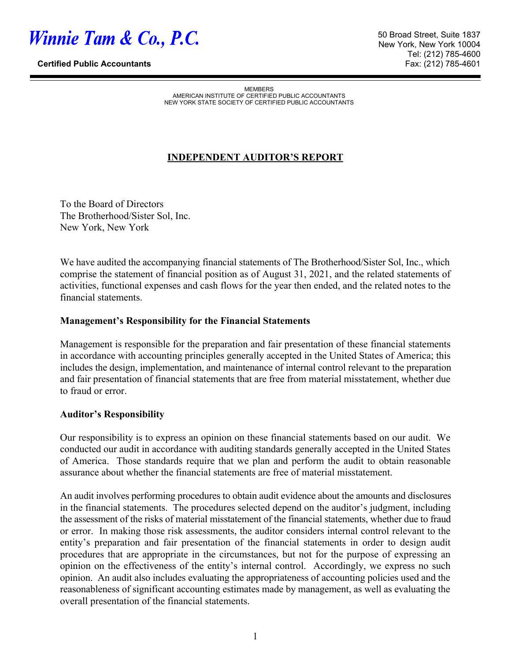

**Certified Public Accountants** Fax: (212) 785-4601

50 Broad Street, Suite 1837 New York, New York 10004 Tel: (212) 785-4600

**MEMBERS** AMERICAN INSTITUTE OF CERTIFIED PUBLIC ACCOUNTANTS NEW YORK STATE SOCIETY OF CERTIFIED PUBLIC ACCOUNTANTS

## **INDEPENDENT AUDITOR'S REPORT**

To the Board of Directors The Brotherhood/Sister Sol, Inc. New York, New York

We have audited the accompanying financial statements of The Brotherhood/Sister Sol, Inc., which comprise the statement of financial position as of August 31, 2021, and the related statements of activities, functional expenses and cash flows for the year then ended, and the related notes to the financial statements.

#### **Management's Responsibility for the Financial Statements**

Management is responsible for the preparation and fair presentation of these financial statements in accordance with accounting principles generally accepted in the United States of America; this includes the design, implementation, and maintenance of internal control relevant to the preparation and fair presentation of financial statements that are free from material misstatement, whether due to fraud or error.

#### **Auditor's Responsibility**

Our responsibility is to express an opinion on these financial statements based on our audit. We conducted our audit in accordance with auditing standards generally accepted in the United States of America. Those standards require that we plan and perform the audit to obtain reasonable assurance about whether the financial statements are free of material misstatement.

An audit involves performing procedures to obtain audit evidence about the amounts and disclosures in the financial statements. The procedures selected depend on the auditor's judgment, including the assessment of the risks of material misstatement of the financial statements, whether due to fraud or error. In making those risk assessments, the auditor considers internal control relevant to the entity's preparation and fair presentation of the financial statements in order to design audit procedures that are appropriate in the circumstances, but not for the purpose of expressing an opinion on the effectiveness of the entity's internal control. Accordingly, we express no such opinion. An audit also includes evaluating the appropriateness of accounting policies used and the reasonableness of significant accounting estimates made by management, as well as evaluating the overall presentation of the financial statements.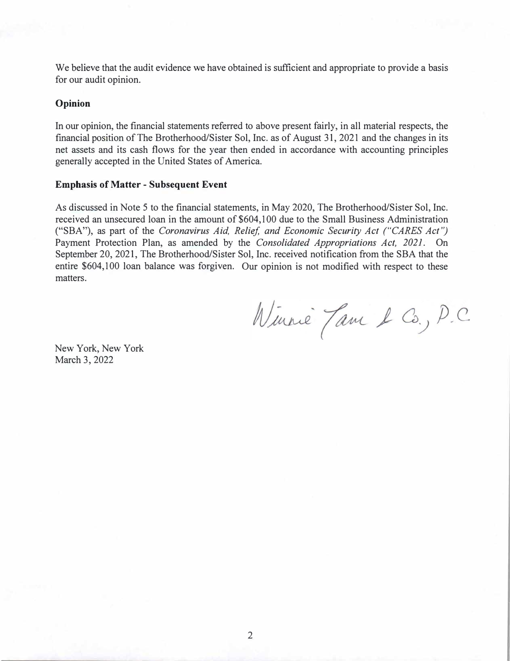We believe that the audit evidence we have obtained is sufficient and appropriate to provide a basis for our audit opinion.

#### **Opinion**

In our opinion, the financial statements referred to above present fairly, in all material respects, the financial position of The Brotherhood/Sister Sol, Inc. as of August 31, 2021 and the changes in its net assets and its cash flows for the year then ended in accordance with accounting principles generally accepted in the United States of America.

#### **Emphasis of Matter - Subsequent Event**

As discussed in Note 5 to the financial statements, in May 2020, The Brotherhood/Sister Sol, Inc. received an unsecured loan in the amount of \$604,100 due to the Small Business Administration ("SBA"), as part of the *Coronavirus Aid, Relief, and Economic Security Act ("CARES Act'')*  Payment Protection Plan, as amended by the *Consolidated Appropriations Act, 2021.* On September 20, 2021, The Brotherhood/Sister Sol, Inc. received notification from the SBA that the entire \$604,100 loan balance was forgiven. Our opinion is not modified with respect to these matters.

Winnie Jam & Co., P.C.

New York, New York March 3, 2022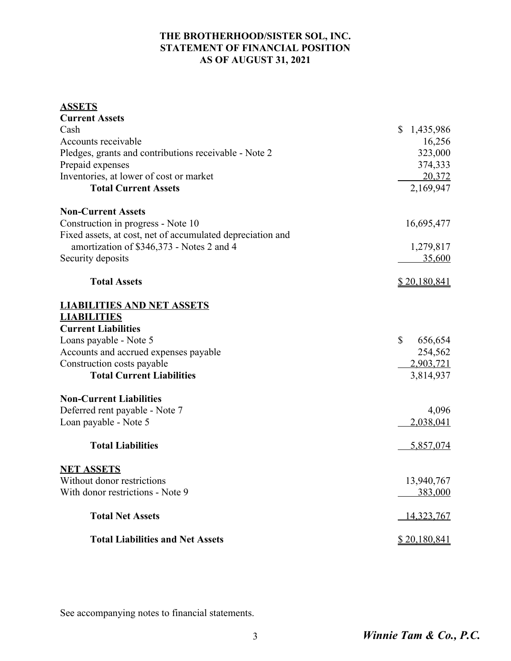# **THE BROTHERHOOD/SISTER SOL, INC. STATEMENT OF FINANCIAL POSITION AS OF AUGUST 31, 2021**

# **ASSETS**

| <b>Current Assets</b>                                      |                           |
|------------------------------------------------------------|---------------------------|
| Cash                                                       | $\mathbb{S}$<br>1,435,986 |
| Accounts receivable                                        | 16,256                    |
| Pledges, grants and contributions receivable - Note 2      | 323,000                   |
| Prepaid expenses                                           | 374,333                   |
| Inventories, at lower of cost or market                    | 20,372                    |
| <b>Total Current Assets</b>                                | 2,169,947                 |
| <b>Non-Current Assets</b>                                  |                           |
| Construction in progress - Note 10                         | 16,695,477                |
| Fixed assets, at cost, net of accumulated depreciation and |                           |
| amortization of \$346,373 - Notes 2 and 4                  | 1,279,817                 |
| Security deposits                                          | 35,600                    |
| <b>Total Assets</b>                                        | <u>\$20,180,841</u>       |
| <b>LIABILITIES AND NET ASSETS</b>                          |                           |
| <b>LIABILITIES</b>                                         |                           |
| <b>Current Liabilities</b>                                 |                           |
| Loans payable - Note 5                                     | \$<br>656,654             |
| Accounts and accrued expenses payable                      | 254,562                   |
| Construction costs payable                                 | 2,903,721                 |
| <b>Total Current Liabilities</b>                           | 3,814,937                 |
| <b>Non-Current Liabilities</b>                             |                           |
| Deferred rent payable - Note 7                             | 4,096                     |
| Loan payable - Note 5                                      | 2,038,041                 |
| <b>Total Liabilities</b>                                   | 5,857,074                 |
| <b>NET ASSETS</b>                                          |                           |
| Without donor restrictions                                 | 13,940,767                |
| With donor restrictions - Note 9                           | 383,000                   |
| <b>Total Net Assets</b>                                    | 14,323,767                |
| <b>Total Liabilities and Net Assets</b>                    | <u>\$20,180,841</u>       |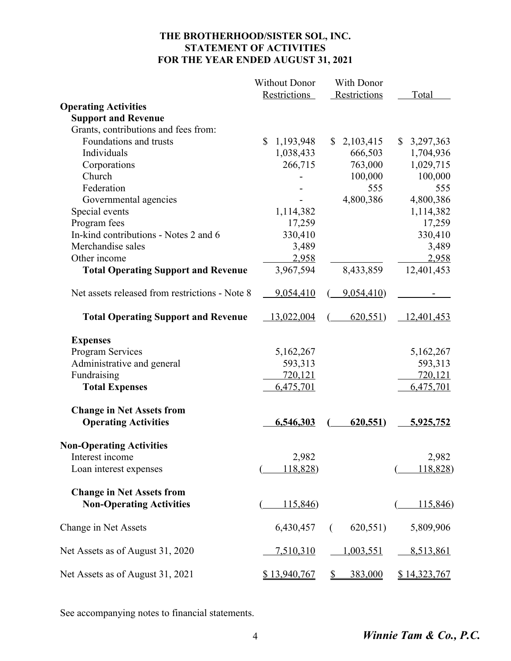# **THE BROTHERHOOD/SISTER SOL, INC. STATEMENT OF ACTIVITIES FOR THE YEAR ENDED AUGUST 31, 2021**

|                                                | <b>Without Donor</b><br>Restrictions | With Donor<br>Restrictions | Total           |
|------------------------------------------------|--------------------------------------|----------------------------|-----------------|
| <b>Operating Activities</b>                    |                                      |                            |                 |
| <b>Support and Revenue</b>                     |                                      |                            |                 |
| Grants, contributions and fees from:           |                                      |                            |                 |
| Foundations and trusts                         | \$<br>1,193,948                      | \$<br>2,103,415            | 3,297,363<br>\$ |
| Individuals                                    | 1,038,433                            | 666,503                    | 1,704,936       |
| Corporations                                   | 266,715                              | 763,000                    | 1,029,715       |
| Church                                         |                                      | 100,000                    | 100,000         |
| Federation                                     |                                      | 555                        | 555             |
| Governmental agencies                          |                                      | 4,800,386                  | 4,800,386       |
| Special events                                 | 1,114,382                            |                            | 1,114,382       |
| Program fees                                   | 17,259                               |                            | 17,259          |
| In-kind contributions - Notes 2 and 6          | 330,410                              |                            | 330,410         |
| Merchandise sales                              | 3,489                                |                            | 3,489           |
| Other income                                   | 2,958                                |                            | 2,958           |
| <b>Total Operating Support and Revenue</b>     | 3,967,594                            | 8,433,859                  | 12,401,453      |
| Net assets released from restrictions - Note 8 | 9,054,410                            | 9,054,410)                 |                 |
| <b>Total Operating Support and Revenue</b>     | 13,022,004                           | 620,551                    | 12.401.453      |
| <b>Expenses</b>                                |                                      |                            |                 |
| Program Services                               | 5,162,267                            |                            | 5,162,267       |
| Administrative and general                     | 593,313                              |                            | 593,313         |
| Fundraising                                    | 720,121                              |                            | 720,121         |
| <b>Total Expenses</b>                          | 6,475,701                            |                            | 6,475,701       |
| <b>Change in Net Assets from</b>               |                                      |                            |                 |
| <b>Operating Activities</b>                    | 6,546,303                            | 620,551                    | 5,925,752       |
| <b>Non-Operating Activities</b>                |                                      |                            |                 |
| Interest income                                | 2,982                                |                            | 2,982           |
| Loan interest expenses                         | 118,828)                             |                            | 118,828)        |
| <b>Change in Net Assets from</b>               |                                      |                            |                 |
| <b>Non-Operating Activities</b>                | 115,846)                             |                            | 115,846)        |
| Change in Net Assets                           | 6,430,457                            | 620,551)<br>€              | 5,809,906       |
| Net Assets as of August 31, 2020               | 7,510,310                            | 1,003,551                  | 8,513,861       |
| Net Assets as of August 31, 2021               | \$13,940,767                         | 383,000<br>\$              | \$14,323,767    |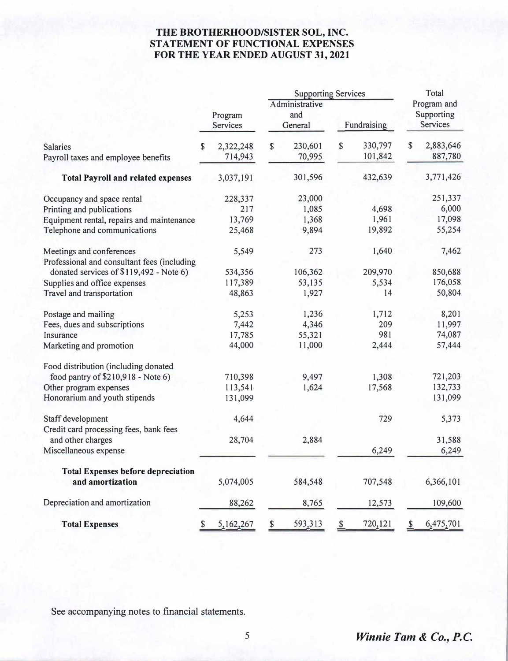# **THE BROTHERHOOD/SISTER SOL, INC. STATEMENT OF FUNCTIONAL EXPENSES FOR THE YEAR ENDED AUGUST 31, 2021**

|                                                                         |    |                            | <b>Supporting Services</b> |                                  | Total        |                    |                           |                                              |
|-------------------------------------------------------------------------|----|----------------------------|----------------------------|----------------------------------|--------------|--------------------|---------------------------|----------------------------------------------|
|                                                                         |    | Program<br><b>Services</b> |                            | Administrative<br>and<br>General |              | Fundraising        |                           | Program and<br>Supporting<br><b>Services</b> |
| <b>Salaries</b><br>Payroll taxes and employee benefits                  | S  | 2,322,248<br>714,943       | $\mathbb{S}$               | 230,601<br>70,995                | $\mathbb{S}$ | 330,797<br>101,842 | \$                        | 2,883,646<br>887,780                         |
|                                                                         |    |                            |                            |                                  |              |                    |                           |                                              |
| <b>Total Payroll and related expenses</b>                               |    | 3,037,191                  |                            | 301,596                          |              | 432,639            |                           | 3,771,426                                    |
| Occupancy and space rental                                              |    | 228,337                    |                            | 23,000                           |              |                    |                           | 251,337                                      |
| Printing and publications                                               |    | 217                        |                            | 1,085                            |              | 4,698              |                           | 6,000                                        |
| Equipment rental, repairs and maintenance                               |    | 13,769                     |                            | 1,368                            |              | 1,961              |                           | 17,098                                       |
| Telephone and communications                                            |    | 25,468                     |                            | 9,894                            |              | 19,892             |                           | 55,254                                       |
| Meetings and conferences<br>Professional and consultant fees (including |    | 5,549                      |                            | 273                              |              | 1,640              |                           | 7,462                                        |
| donated services of \$119,492 - Note 6)                                 |    | 534,356                    |                            | 106,362                          |              | 209,970            |                           | 850,688                                      |
| Supplies and office expenses                                            |    | 117,389                    |                            | 53,135                           |              | 5,534              |                           | 176,058                                      |
| Travel and transportation                                               |    | 48,863                     |                            | 1,927                            |              | 14                 |                           | 50,804                                       |
| Postage and mailing                                                     |    | 5,253                      |                            | 1,236                            |              | 1,712              |                           | 8,201                                        |
| Fees, dues and subscriptions                                            |    | 7,442                      |                            | 4,346                            |              | 209                |                           | 11,997                                       |
| Insurance                                                               |    | 17,785                     |                            | 55,321                           |              | 981                |                           | 74,087                                       |
| Marketing and promotion                                                 |    | 44,000                     |                            | 11,000                           |              | 2,444              |                           | 57,444                                       |
| Food distribution (including donated                                    |    |                            |                            |                                  |              |                    |                           |                                              |
| food pantry of \$210,918 - Note 6)                                      |    | 710,398                    |                            | 9,497                            |              | 1,308              |                           | 721,203                                      |
| Other program expenses                                                  |    | 113,541                    |                            | 1,624                            |              | 17,568             |                           | 132,733                                      |
| Honorarium and youth stipends                                           |    | 131,099                    |                            |                                  |              |                    |                           | 131,099                                      |
| Staff development                                                       |    | 4,644                      |                            |                                  |              | 729                |                           | 5,373                                        |
| Credit card processing fees, bank fees                                  |    |                            |                            |                                  |              |                    |                           |                                              |
| and other charges                                                       |    | 28,704                     |                            | 2,884                            |              |                    |                           | 31,588                                       |
| Miscellaneous expense                                                   |    |                            |                            |                                  |              | 6,249              |                           | 6,249                                        |
| <b>Total Expenses before depreciation</b>                               |    |                            |                            |                                  |              |                    |                           |                                              |
| and amortization                                                        |    | 5,074,005                  |                            | 584,548                          |              | 707,548            |                           | 6,366,101                                    |
| Depreciation and amortization                                           |    | 88,262                     |                            | 8,765                            |              | 12,573             |                           | 109,600                                      |
| <b>Total Expenses</b>                                                   | \$ | 5,162,267                  | $\mathbb S$                | 593,313                          | \$           | 720,121            | $\boldsymbol{\mathsf{S}}$ | 6,475,701                                    |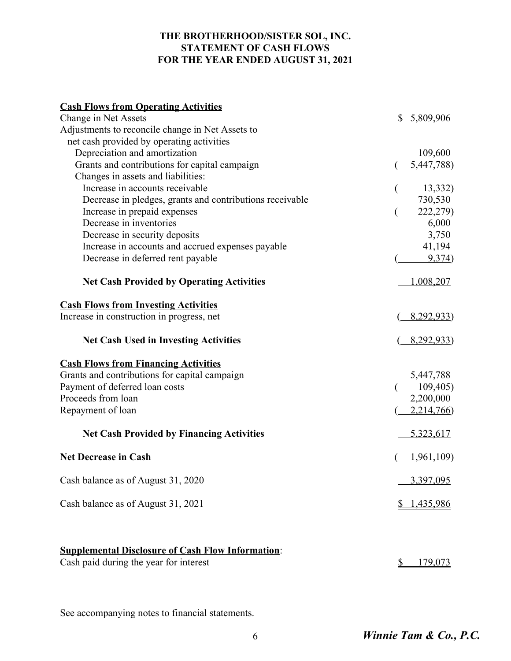# **THE BROTHERHOOD/SISTER SOL, INC. STATEMENT OF CASH FLOWS FOR THE YEAR ENDED AUGUST 31, 2021**

| <b>Cash Flows from Operating Activities</b>              |                 |
|----------------------------------------------------------|-----------------|
| Change in Net Assets                                     | \$5,809,906     |
| Adjustments to reconcile change in Net Assets to         |                 |
| net cash provided by operating activities                |                 |
| Depreciation and amortization                            | 109,600         |
| Grants and contributions for capital campaign            | 5,447,788)<br>€ |
| Changes in assets and liabilities:                       |                 |
| Increase in accounts receivable                          | 13,332)         |
| Decrease in pledges, grants and contributions receivable | 730,530         |
| Increase in prepaid expenses                             | 222,279)<br>€   |
| Decrease in inventories                                  | 6,000           |
| Decrease in security deposits                            | 3,750           |
| Increase in accounts and accrued expenses payable        | 41,194          |
| Decrease in deferred rent payable                        | 9,374)          |
| <b>Net Cash Provided by Operating Activities</b>         | 1,008,207       |
| <b>Cash Flows from Investing Activities</b>              |                 |
| Increase in construction in progress, net                | 8,292,933)      |
| <b>Net Cash Used in Investing Activities</b>             | ( 8, 292, 933)  |
| <b>Cash Flows from Financing Activities</b>              |                 |
| Grants and contributions for capital campaign            | 5,447,788       |
| Payment of deferred loan costs                           | 109,405<br>€    |
| Proceeds from loan                                       | 2,200,000       |
| Repayment of loan                                        | 2,214,766)      |
| <b>Net Cash Provided by Financing Activities</b>         | 5,323,617       |
| <b>Net Decrease in Cash</b>                              | 1,961,109)<br>€ |
| Cash balance as of August 31, 2020                       | 3,397,095       |
| Cash balance as of August 31, 2021                       | 1,435,986       |
|                                                          |                 |

# **Supplemental Disclosure of Cash Flow Information**:

| Cash paid during the year for interest |  | $\frac{\$}{179,073}$ |
|----------------------------------------|--|----------------------|
|----------------------------------------|--|----------------------|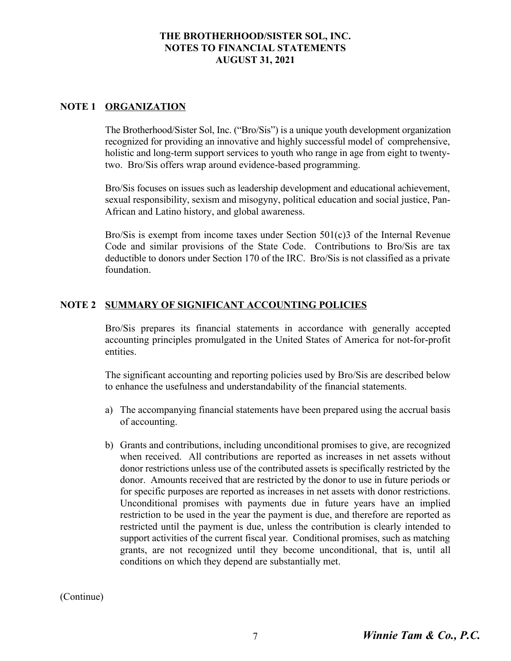# **NOTE 1 ORGANIZATION**

The Brotherhood/Sister Sol, Inc. ("Bro/Sis") is a unique youth development organization recognized for providing an innovative and highly successful model of comprehensive, holistic and long-term support services to youth who range in age from eight to twentytwo. Bro/Sis offers wrap around evidence-based programming.

Bro/Sis focuses on issues such as leadership development and educational achievement, sexual responsibility, sexism and misogyny, political education and social justice, Pan-African and Latino history, and global awareness.

Bro/Sis is exempt from income taxes under Section 501(c)3 of the Internal Revenue Code and similar provisions of the State Code. Contributions to Bro/Sis are tax deductible to donors under Section 170 of the IRC. Bro/Sis is not classified as a private foundation.

# **NOTE 2 SUMMARY OF SIGNIFICANT ACCOUNTING POLICIES**

Bro/Sis prepares its financial statements in accordance with generally accepted accounting principles promulgated in the United States of America for not-for-profit entities.

The significant accounting and reporting policies used by Bro/Sis are described below to enhance the usefulness and understandability of the financial statements.

- a) The accompanying financial statements have been prepared using the accrual basis of accounting.
- b) Grants and contributions, including unconditional promises to give, are recognized when received. All contributions are reported as increases in net assets without donor restrictions unless use of the contributed assets is specifically restricted by the donor. Amounts received that are restricted by the donor to use in future periods or for specific purposes are reported as increases in net assets with donor restrictions. Unconditional promises with payments due in future years have an implied restriction to be used in the year the payment is due, and therefore are reported as restricted until the payment is due, unless the contribution is clearly intended to support activities of the current fiscal year. Conditional promises, such as matching grants, are not recognized until they become unconditional, that is, until all conditions on which they depend are substantially met.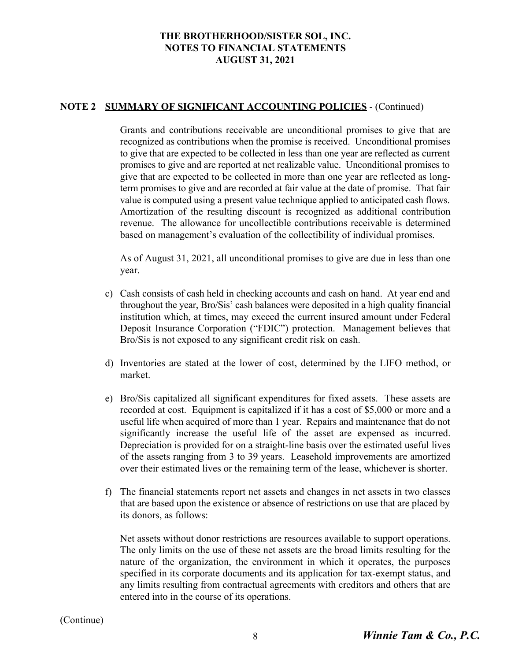## **NOTE 2 SUMMARY OF SIGNIFICANT ACCOUNTING POLICIES** - (Continued)

Grants and contributions receivable are unconditional promises to give that are recognized as contributions when the promise is received. Unconditional promises to give that are expected to be collected in less than one year are reflected as current promises to give and are reported at net realizable value. Unconditional promises to give that are expected to be collected in more than one year are reflected as longterm promises to give and are recorded at fair value at the date of promise. That fair value is computed using a present value technique applied to anticipated cash flows. Amortization of the resulting discount is recognized as additional contribution revenue. The allowance for uncollectible contributions receivable is determined based on management's evaluation of the collectibility of individual promises.

As of August 31, 2021, all unconditional promises to give are due in less than one year.

- c) Cash consists of cash held in checking accounts and cash on hand. At year end and throughout the year, Bro/Sis' cash balances were deposited in a high quality financial institution which, at times, may exceed the current insured amount under Federal Deposit Insurance Corporation ("FDIC") protection. Management believes that Bro/Sis is not exposed to any significant credit risk on cash.
- d) Inventories are stated at the lower of cost, determined by the LIFO method, or market.
- e) Bro/Sis capitalized all significant expenditures for fixed assets. These assets are recorded at cost. Equipment is capitalized if it has a cost of \$5,000 or more and a useful life when acquired of more than 1 year. Repairs and maintenance that do not significantly increase the useful life of the asset are expensed as incurred. Depreciation is provided for on a straight-line basis over the estimated useful lives of the assets ranging from 3 to 39 years. Leasehold improvements are amortized over their estimated lives or the remaining term of the lease, whichever is shorter.
- f) The financial statements report net assets and changes in net assets in two classes that are based upon the existence or absence of restrictions on use that are placed by its donors, as follows:

Net assets without donor restrictions are resources available to support operations. The only limits on the use of these net assets are the broad limits resulting for the nature of the organization, the environment in which it operates, the purposes specified in its corporate documents and its application for tax-exempt status, and any limits resulting from contractual agreements with creditors and others that are entered into in the course of its operations.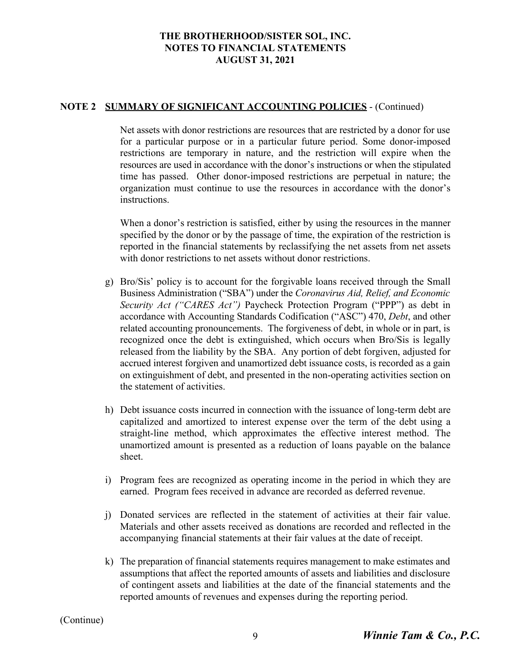# **NOTE 2 SUMMARY OF SIGNIFICANT ACCOUNTING POLICIES** - (Continued)

Net assets with donor restrictions are resources that are restricted by a donor for use for a particular purpose or in a particular future period. Some donor-imposed restrictions are temporary in nature, and the restriction will expire when the resources are used in accordance with the donor's instructions or when the stipulated time has passed. Other donor-imposed restrictions are perpetual in nature; the organization must continue to use the resources in accordance with the donor's instructions.

When a donor's restriction is satisfied, either by using the resources in the manner specified by the donor or by the passage of time, the expiration of the restriction is reported in the financial statements by reclassifying the net assets from net assets with donor restrictions to net assets without donor restrictions.

- g) Bro/Sis' policy is to account for the forgivable loans received through the Small Business Administration ("SBA") under the *Coronavirus Aid, Relief, and Economic Security Act ("CARES Act")* Paycheck Protection Program ("PPP") as debt in accordance with Accounting Standards Codification ("ASC") 470, *Debt*, and other related accounting pronouncements. The forgiveness of debt, in whole or in part, is recognized once the debt is extinguished, which occurs when Bro/Sis is legally released from the liability by the SBA. Any portion of debt forgiven, adjusted for accrued interest forgiven and unamortized debt issuance costs, is recorded as a gain on extinguishment of debt, and presented in the non-operating activities section on the statement of activities.
- h) Debt issuance costs incurred in connection with the issuance of long-term debt are capitalized and amortized to interest expense over the term of the debt using a straight-line method, which approximates the effective interest method. The unamortized amount is presented as a reduction of loans payable on the balance sheet.
- i) Program fees are recognized as operating income in the period in which they are earned. Program fees received in advance are recorded as deferred revenue.
- j) Donated services are reflected in the statement of activities at their fair value. Materials and other assets received as donations are recorded and reflected in the accompanying financial statements at their fair values at the date of receipt.
- k) The preparation of financial statements requires management to make estimates and assumptions that affect the reported amounts of assets and liabilities and disclosure of contingent assets and liabilities at the date of the financial statements and the reported amounts of revenues and expenses during the reporting period.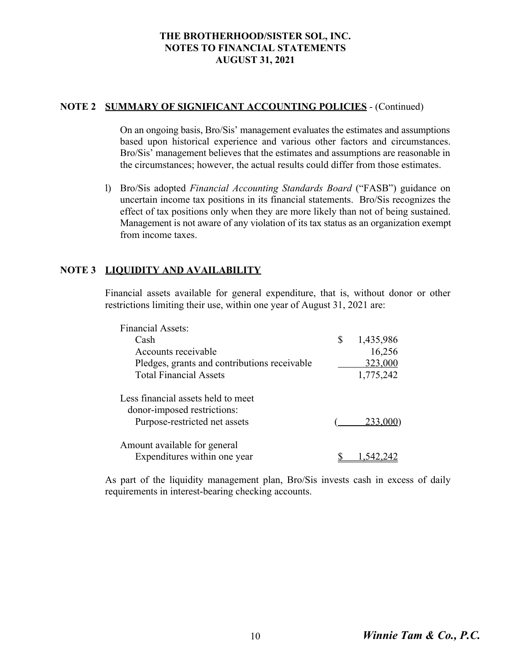#### **NOTE 2 SUMMARY OF SIGNIFICANT ACCOUNTING POLICIES** - (Continued)

On an ongoing basis, Bro/Sis' management evaluates the estimates and assumptions based upon historical experience and various other factors and circumstances. Bro/Sis' management believes that the estimates and assumptions are reasonable in the circumstances; however, the actual results could differ from those estimates.

l) Bro/Sis adopted *Financial Accounting Standards Board* ("FASB") guidance on uncertain income tax positions in its financial statements. Bro/Sis recognizes the effect of tax positions only when they are more likely than not of being sustained. Management is not aware of any violation of its tax status as an organization exempt from income taxes.

# **NOTE 3 LIQUIDITY AND AVAILABILITY**

Financial assets available for general expenditure, that is, without donor or other restrictions limiting their use, within one year of August 31, 2021 are:

| <b>Financial Assets:</b>                                          |                 |
|-------------------------------------------------------------------|-----------------|
| Cash                                                              | \$<br>1,435,986 |
| Accounts receivable                                               | 16,256          |
| Pledges, grants and contributions receivable                      | 323,000         |
| <b>Total Financial Assets</b>                                     | 1,775,242       |
| Less financial assets held to meet<br>donor-imposed restrictions: |                 |
| Purpose-restricted net assets                                     | 233,0           |
| Amount available for general                                      |                 |
| Expenditures within one year                                      |                 |

As part of the liquidity management plan, Bro/Sis invests cash in excess of daily requirements in interest-bearing checking accounts.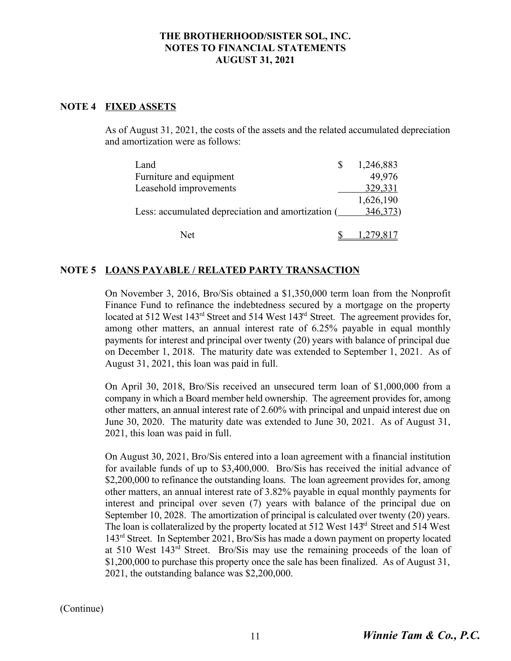## **NOTE 4 FIXED ASSETS**

As of August 31, 2021, the costs of the assets and the related accumulated depreciation and amortization were as follows:

| Land                                              | 1,246,883  |
|---------------------------------------------------|------------|
| Furniture and equipment                           | 49,976     |
| Leasehold improvements                            | 329,331    |
|                                                   | 1,626,190  |
| Less: accumulated depreciation and amortization ( | $-346.373$ |
| Net                                               | 1.279.817  |

# **NOTE 5 LOANS PAYABLE / RELATED PARTY TRANSACTION**

On November 3, 2016, Bro/Sis obtained a \$1,350,000 term loan from the Nonprofit Finance Fund to refinance the indebtedness secured by a mortgage on the property located at 512 West  $143<sup>rd</sup>$  Street and 514 West  $143<sup>rd</sup>$  Street. The agreement provides for, among other matters, an annual interest rate of 6.25% payable in equal monthly payments for interest and principal over twenty (20) years with balance of principal due on December 1, 2018. The maturity date was extended to September 1, 2021. As of August 31, 2021, this loan was paid in full.

On April 30, 2018, Bro/Sis received an unsecured term loan of \$1,000,000 from a company in which a Board member held ownership. The agreement provides for, among other matters, an annual interest rate of 2.60% with principal and unpaid interest due on June 30, 2020. The maturity date was extended to June 30, 2021. As of August 31, 2021, this loan was paid in full.

On August 30, 2021, Bro/Sis entered into a loan agreement with a financial institution for available funds of up to \$3,400,000. Bro/Sis has received the initial advance of \$2,200,000 to refinance the outstanding loans. The loan agreement provides for, among other matters, an annual interest rate of 3.82% payable in equal monthly payments for interest and principal over seven (7) years with balance of the principal due on September 10, 2028. The amortization of principal is calculated over twenty (20) years. The loan is collateralized by the property located at  $512$  West  $143<sup>rd</sup>$  Street and  $514$  West  $143<sup>rd</sup>$  Street. In September 2021, Bro/Sis has made a down payment on property located at 510 West  $143<sup>rd</sup>$  Street. Bro/Sis may use the remaining proceeds of the loan of \$1,200,000 to purchase this property once the sale has been finalized. As of August 31, 2021, the outstanding balance was \$2,200,000.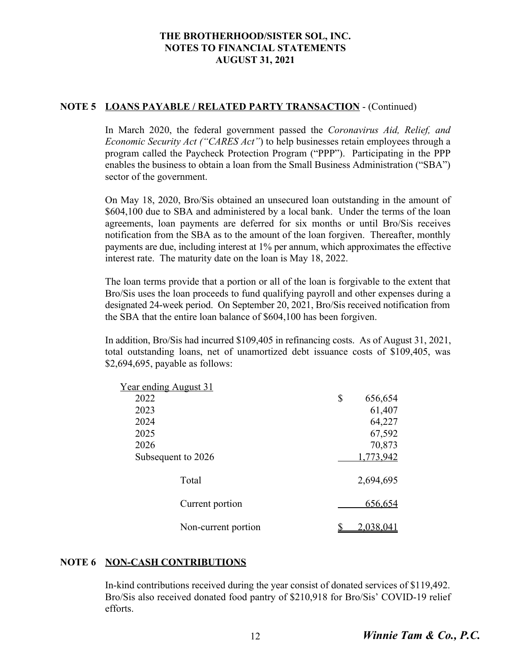# **NOTE 5 LOANS PAYABLE / RELATED PARTY TRANSACTION** - (Continued)

In March 2020, the federal government passed the *Coronavirus Aid, Relief, and Economic Security Act ("CARES Act"*) to help businesses retain employees through a program called the Paycheck Protection Program ("PPP"). Participating in the PPP enables the business to obtain a loan from the Small Business Administration ("SBA") sector of the government.

On May 18, 2020, Bro/Sis obtained an unsecured loan outstanding in the amount of \$604,100 due to SBA and administered by a local bank. Under the terms of the loan agreements, loan payments are deferred for six months or until Bro/Sis receives notification from the SBA as to the amount of the loan forgiven. Thereafter, monthly payments are due, including interest at 1% per annum, which approximates the effective interest rate. The maturity date on the loan is May 18, 2022.

The loan terms provide that a portion or all of the loan is forgivable to the extent that Bro/Sis uses the loan proceeds to fund qualifying payroll and other expenses during a designated 24-week period. On September 20, 2021, Bro/Sis received notification from the SBA that the entire loan balance of \$604,100 has been forgiven.

In addition, Bro/Sis had incurred \$109,405 in refinancing costs. As of August 31, 2021, total outstanding loans, net of unamortized debt issuance costs of \$109,405, was \$2,694,695, payable as follows:

| <b>Year ending August 31</b> |               |
|------------------------------|---------------|
| 2022                         | \$<br>656,654 |
| 2023                         | 61,407        |
| 2024                         | 64,227        |
| 2025                         | 67,592        |
| 2026                         | 70,873        |
| Subsequent to 2026           | 1,773,942     |
| Total                        | 2,694,695     |
| Current portion              | 656,654       |
| Non-current portion          | 2,038,0       |

#### **NOTE 6 NON-CASH CONTRIBUTIONS**

In-kind contributions received during the year consist of donated services of \$119,492. Bro/Sis also received donated food pantry of \$210,918 for Bro/Sis' COVID-19 relief efforts.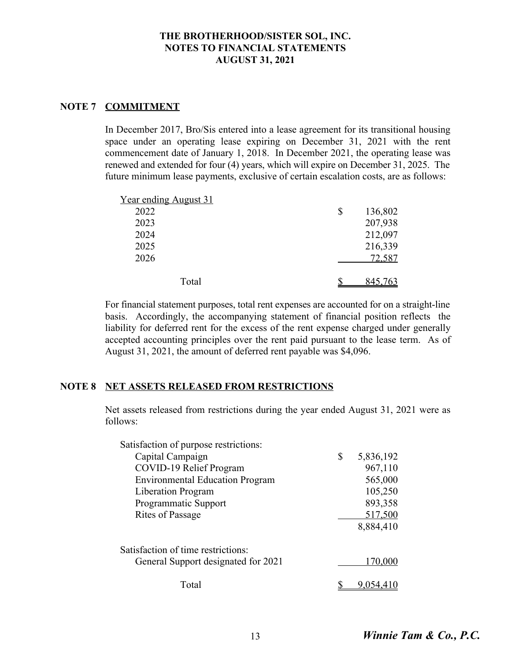#### **NOTE 7 COMMITMENT**

In December 2017, Bro/Sis entered into a lease agreement for its transitional housing space under an operating lease expiring on December 31, 2021 with the rent commencement date of January 1, 2018. In December 2021, the operating lease was renewed and extended for four (4) years, which will expire on December 31, 2025. The future minimum lease payments, exclusive of certain escalation costs, are as follows:

| <u>Year ending August 31</u> |               |
|------------------------------|---------------|
| 2022                         | \$<br>136,802 |
| 2023                         | 207,938       |
| 2024                         | 212,097       |
| 2025                         | 216,339       |
| 2026                         | 72,587        |
| Total                        | 845,763       |

For financial statement purposes, total rent expenses are accounted for on a straight-line basis. Accordingly, the accompanying statement of financial position reflects the liability for deferred rent for the excess of the rent expense charged under generally accepted accounting principles over the rent paid pursuant to the lease term. As of August 31, 2021, the amount of deferred rent payable was \$4,096.

#### **NOTE 8 NET ASSETS RELEASED FROM RESTRICTIONS**

Net assets released from restrictions during the year ended August 31, 2021 were as follows:

| Satisfaction of purpose restrictions:  |                 |
|----------------------------------------|-----------------|
| Capital Campaign                       | \$<br>5,836,192 |
| COVID-19 Relief Program                | 967,110         |
| <b>Environmental Education Program</b> | 565,000         |
| <b>Liberation Program</b>              | 105,250         |
| Programmatic Support                   | 893,358         |
| Rites of Passage                       | 517,500         |
|                                        | 8,884,410       |
| Satisfaction of time restrictions:     |                 |
| General Support designated for 2021    | 170,000         |
| Total                                  | 9.054.4         |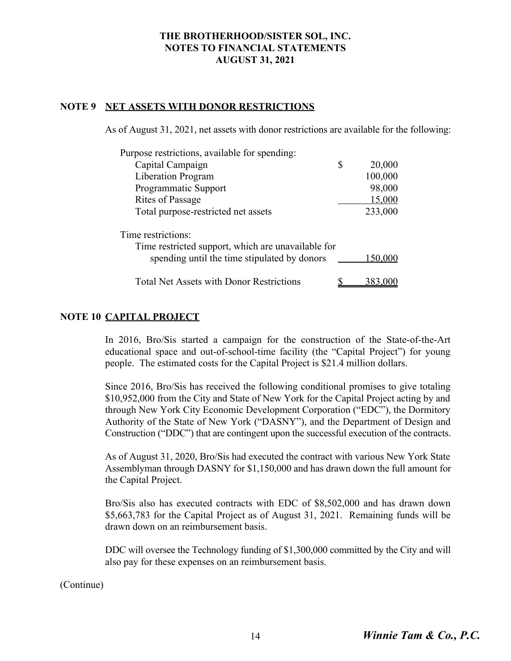# **NOTE 9 NET ASSETS WITH DONOR RESTRICTIONS**

As of August 31, 2021, net assets with donor restrictions are available for the following:

| Purpose restrictions, available for spending:      |              |
|----------------------------------------------------|--------------|
| Capital Campaign                                   | \$<br>20,000 |
| <b>Liberation Program</b>                          | 100,000      |
| Programmatic Support                               | 98,000       |
| Rites of Passage                                   | 15,000       |
| Total purpose-restricted net assets                | 233,000      |
| Time restrictions:                                 |              |
| Time restricted support, which are unavailable for |              |
| spending until the time stipulated by donors       | 150,000      |
| <b>Total Net Assets with Donor Restrictions</b>    |              |

# **NOTE 10 CAPITAL PROJECT**

In 2016, Bro/Sis started a campaign for the construction of the State-of-the-Art educational space and out-of-school-time facility (the "Capital Project") for young people. The estimated costs for the Capital Project is \$21.4 million dollars.

Since 2016, Bro/Sis has received the following conditional promises to give totaling \$10,952,000 from the City and State of New York for the Capital Project acting by and through New York City Economic Development Corporation ("EDC"), the Dormitory Authority of the State of New York ("DASNY"), and the Department of Design and Construction ("DDC") that are contingent upon the successful execution of the contracts.

As of August 31, 2020, Bro/Sis had executed the contract with various New York State Assemblyman through DASNY for \$1,150,000 and has drawn down the full amount for the Capital Project.

Bro/Sis also has executed contracts with EDC of \$8,502,000 and has drawn down \$5,663,783 for the Capital Project as of August 31, 2021. Remaining funds will be drawn down on an reimbursement basis.

DDC will oversee the Technology funding of \$1,300,000 committed by the City and will also pay for these expenses on an reimbursement basis.